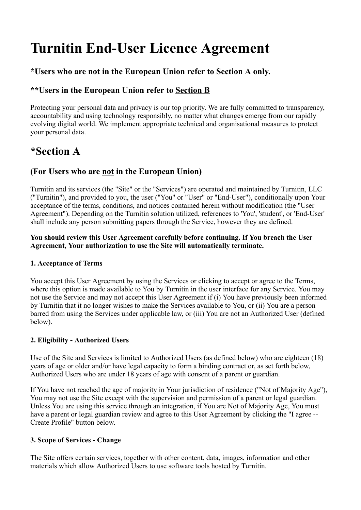# Turnitin End-User Licence Agreement

### \*Users who are not in the European Union refer to Section A only.

# \*\*Users in the European Union refer to Section B

Protecting your personal data and privacy is our top priority. We are fully committed to transparency, accountability and using technology responsibly, no matter what changes emerge from our rapidly evolving digital world. We implement appropriate technical and organisational measures to protect your personal data.

# \*Section A

## (For Users who are not in the European Union)

Turnitin and its services (the "Site" or the "Services") are operated and maintained by Turnitin, LLC ("Turnitin"), and provided to you, the user ("You" or "User" or "End-User"), conditionally upon Your acceptance of the terms, conditions, and notices contained herein without modification (the "User Agreement"). Depending on the Turnitin solution utilized, references to 'You', 'student', or 'End-User' shall include any person submitting papers through the Service, however they are defined.

You should review this User Agreement carefully before continuing. If You breach the User Agreement, Your authorization to use the Site will automatically terminate.

#### 1. Acceptance of Terms

You accept this User Agreement by using the Services or clicking to accept or agree to the Terms, where this option is made available to You by Turnitin in the user interface for any Service. You may not use the Service and may not accept this User Agreement if (i) You have previously been informed by Turnitin that it no longer wishes to make the Services available to You, or (ii) You are a person barred from using the Services under applicable law, or (iii) You are not an Authorized User (defined below).

#### 2. Eligibility - Authorized Users

Use of the Site and Services is limited to Authorized Users (as defined below) who are eighteen (18) years of age or older and/or have legal capacity to form a binding contract or, as set forth below, Authorized Users who are under 18 years of age with consent of a parent or guardian.

If You have not reached the age of majority in Your jurisdiction of residence ("Not of Majority Age"), You may not use the Site except with the supervision and permission of a parent or legal guardian. Unless You are using this service through an integration, if You are Not of Majority Age, You must have a parent or legal guardian review and agree to this User Agreement by clicking the "I agree -- Create Profile" button below.

#### 3. Scope of Services - Change

The Site offers certain services, together with other content, data, images, information and other materials which allow Authorized Users to use software tools hosted by Turnitin.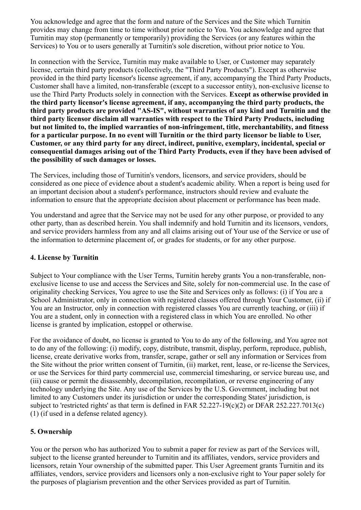You acknowledge and agree that the form and nature of the Services and the Site which Turnitin provides may change from time to time without prior notice to You. You acknowledge and agree that Turnitin may stop (permanently or temporarily) providing the Services (or any features within the Services) to You or to users generally at Turnitin's sole discretion, without prior notice to You.

In connection with the Service, Turnitin may make available to User, or Customer may separately license, certain third party products (collectively, the "Third Party Products"). Except as otherwise provided in the third party licensor's license agreement, if any, accompanying the Third Party Products, Customer shall have a limited, non-transferable (except to a successor entity), non-exclusive license to use the Third Party Products solely in connection with the Services. Except as otherwise provided in the third party licensor's license agreement, if any, accompanying the third party products, the third party products are provided "AS-IS", without warranties of any kind and Turnitin and the third party licensor disclaim all warranties with respect to the Third Party Products, including but not limited to, the implied warranties of non-infringement, title, merchantability, and fitness for a particular purpose. In no event will Turnitin or the third party licensor be liable to User, Customer, or any third party for any direct, indirect, punitive, exemplary, incidental, special or consequential damages arising out of the Third Party Products, even if they have been advised of the possibility of such damages or losses.

The Services, including those of Turnitin's vendors, licensors, and service providers, should be considered as one piece of evidence about a student's academic ability. When a report is being used for an important decision about a student's performance, instructors should review and evaluate the information to ensure that the appropriate decision about placement or performance has been made.

You understand and agree that the Service may not be used for any other purpose, or provided to any other party, than as described herein. You shall indemnify and hold Turnitin and its licensors, vendors, and service providers harmless from any and all claims arising out of Your use of the Service or use of the information to determine placement of, or grades for students, or for any other purpose.

#### 4. License by Turnitin

Subject to Your compliance with the User Terms, Turnitin hereby grants You a non-transferable, nonexclusive license to use and access the Services and Site, solely for non-commercial use. In the case of originality checking Services, You agree to use the Site and Services only as follows: (i) if You are a School Administrator, only in connection with registered classes offered through Your Customer, (ii) if You are an Instructor, only in connection with registered classes You are currently teaching, or (iii) if You are a student, only in connection with a registered class in which You are enrolled. No other license is granted by implication, estoppel or otherwise.

For the avoidance of doubt, no license is granted to You to do any of the following, and You agree not to do any of the following: (i) modify, copy, distribute, transmit, display, perform, reproduce, publish, license, create derivative works from, transfer, scrape, gather or sell any information or Services from the Site without the prior written consent of Turnitin, (ii) market, rent, lease, or re-license the Services, or use the Services for third party commercial use, commercial timesharing, or service bureau use, and (iii) cause or permit the disassembly, decompilation, recompilation, or reverse engineering of any technology underlying the Site. Any use of the Services by the U.S. Government, including but not limited to any Customers under its jurisdiction or under the corresponding States' jurisdiction, is subject to 'restricted rights' as that term is defined in FAR 52.227-19(c)(2) or DFAR 252.227.7013(c) (1) (if used in a defense related agency).

#### 5. Ownership

You or the person who has authorized You to submit a paper for review as part of the Services will, subject to the license granted hereunder to Turnitin and its affiliates, vendors, service providers and licensors, retain Your ownership of the submitted paper. This User Agreement grants Turnitin and its affiliates, vendors, service providers and licensors only a non-exclusive right to Your paper solely for the purposes of plagiarism prevention and the other Services provided as part of Turnitin.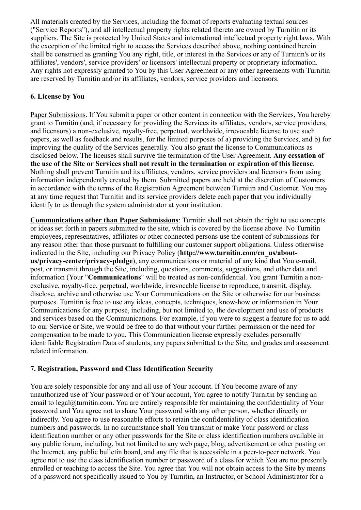All materials created by the Services, including the format of reports evaluating textual sources ("Service Reports"), and all intellectual property rights related thereto are owned by Turnitin or its suppliers. The Site is protected by United States and international intellectual property right laws. With the exception of the limited right to access the Services described above, nothing contained herein shall be construed as granting You any right, title, or interest in the Services or any of Turnitin's or its affiliates', vendors', service providers' or licensors' intellectual property or proprietary information. Any rights not expressly granted to You by this User Agreement or any other agreements with Turnitin are reserved by Turnitin and/or its affiliates, vendors, service providers and licensors.

#### 6. License by You

Paper Submissions. If You submit a paper or other content in connection with the Services, You hereby grant to Turnitin (and, if necessary for providing the Services its affiliates, vendors, service providers, and licensors) a non-exclusive, royalty-free, perpetual, worldwide, irrevocable license to use such papers, as well as feedback and results, for the limited purposes of a) providing the Services, and b) for improving the quality of the Services generally. You also grant the license to Communications as disclosed below. The licenses shall survive the termination of the User Agreement. Any cessation of the use of the Site or Services shall not result in the termination or expiration of this license. Nothing shall prevent Turnitin and its affiliates, vendors, service providers and licensors from using information independently created by them. Submitted papers are held at the discretion of Customers in accordance with the terms of the Registration Agreement between Turnitin and Customer. You may at any time request that Turnitin and its service providers delete each paper that you individually identify to us through the system administrator at your institution.

Communications other than Paper Submissions: Turnitin shall not obtain the right to use concepts or ideas set forth in papers submitted to the site, which is covered by the license above. No Turnitin employees, representatives, affiliates or other connected persons use the content of submissions for any reason other than those pursuant to fulfilling our customer support obligations. Unless otherwise indicated in the Site, including our Privacy Policy (http://www.turnitin.com/en\_us/aboutus/privacy-center/privacy-pledge), any communications or material of any kind that You e-mail, post, or transmit through the Site, including, questions, comments, suggestions, and other data and information (Your "Communications" will be treated as non-confidential. You grant Turnitin a nonexclusive, royalty-free, perpetual, worldwide, irrevocable license to reproduce, transmit, display, disclose, archive and otherwise use Your Communications on the Site or otherwise for our business purposes. Turnitin is free to use any ideas, concepts, techniques, know-how or information in Your Communications for any purpose, including, but not limited to, the development and use of products and services based on the Communications. For example, if you were to suggest a feature for us to add to our Service or Site, we would be free to do that without your further permission or the need for compensation to be made to you. This Communication license expressly excludes personally identifiable Registration Data of students, any papers submitted to the Site, and grades and assessment related information.

#### 7. Registration, Password and Class Identification Security

You are solely responsible for any and all use of Your account. If You become aware of any unauthorized use of Your password or of Your account, You agree to notify Turnitin by sending an email to legal@turnitin.com. You are entirely responsible for maintaining the confidentiality of Your password and You agree not to share Your password with any other person, whether directly or indirectly. You agree to use reasonable efforts to retain the confidentiality of class identification numbers and passwords. In no circumstance shall You transmit or make Your password or class identification number or any other passwords for the Site or class identification numbers available in any public forum, including, but not limited to any web page, blog, advertisement or other posting on the Internet, any public bulletin board, and any file that is accessible in a peer-to-peer network. You agree not to use the class identification number or password of a class for which You are not presently enrolled or teaching to access the Site. You agree that You will not obtain access to the Site by means of a password not specifically issued to You by Turnitin, an Instructor, or School Administrator for a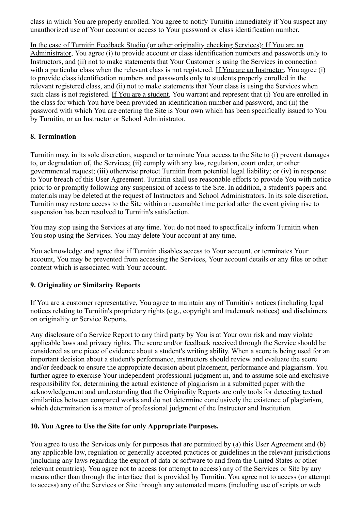class in which You are properly enrolled. You agree to notify Turnitin immediately if You suspect any unauthorized use of Your account or access to Your password or class identification number.

In the case of Turnitin Feedback Studio (or other originality checking Services): If You are an Administrator, You agree (i) to provide account or class identification numbers and passwords only to Instructors, and (ii) not to make statements that Your Customer is using the Services in connection with a particular class when the relevant class is not registered. If You are an Instructor, You agree (i) to provide class identification numbers and passwords only to students properly enrolled in the relevant registered class, and (ii) not to make statements that Your class is using the Services when such class is not registered. If You are a student, You warrant and represent that (i) You are enrolled in the class for which You have been provided an identification number and password, and (ii) the password with which You are entering the Site is Your own which has been specifically issued to You by Turnitin, or an Instructor or School Administrator.

#### 8. Termination

Turnitin may, in its sole discretion, suspend or terminate Your access to the Site to (i) prevent damages to, or degradation of, the Services; (ii) comply with any law, regulation, court order, or other governmental request; (iii) otherwise protect Turnitin from potential legal liability; or (iv) in response to Your breach of this User Agreement. Turnitin shall use reasonable efforts to provide You with notice prior to or promptly following any suspension of access to the Site. In addition, a student's papers and materials may be deleted at the request of Instructors and School Administrators. In its sole discretion, Turnitin may restore access to the Site within a reasonable time period after the event giving rise to suspension has been resolved to Turnitin's satisfaction.

You may stop using the Services at any time. You do not need to specifically inform Turnitin when You stop using the Services. You may delete Your account at any time.

You acknowledge and agree that if Turnitin disables access to Your account, or terminates Your account, You may be prevented from accessing the Services, Your account details or any files or other content which is associated with Your account.

#### 9. Originality or Similarity Reports

If You are a customer representative, You agree to maintain any of Turnitin's notices (including legal notices relating to Turnitin's proprietary rights (e.g., copyright and trademark notices) and disclaimers on originality or Service Reports.

Any disclosure of a Service Report to any third party by You is at Your own risk and may violate applicable laws and privacy rights. The score and/or feedback received through the Service should be considered as one piece of evidence about a student's writing ability. When a score is being used for an important decision about a student's performance, instructors should review and evaluate the score and/or feedback to ensure the appropriate decision about placement, performance and plagiarism. You further agree to exercise Your independent professional judgment in, and to assume sole and exclusive responsibility for, determining the actual existence of plagiarism in a submitted paper with the acknowledgement and understanding that the Originality Reports are only tools for detecting textual similarities between compared works and do not determine conclusively the existence of plagiarism, which determination is a matter of professional judgment of the Instructor and Institution.

#### 10. You Agree to Use the Site for only Appropriate Purposes.

You agree to use the Services only for purposes that are permitted by (a) this User Agreement and (b) any applicable law, regulation or generally accepted practices or guidelines in the relevant jurisdictions (including any laws regarding the export of data or software to and from the United States or other relevant countries). You agree not to access (or attempt to access) any of the Services or Site by any means other than through the interface that is provided by Turnitin. You agree not to access (or attempt to access) any of the Services or Site through any automated means (including use of scripts or web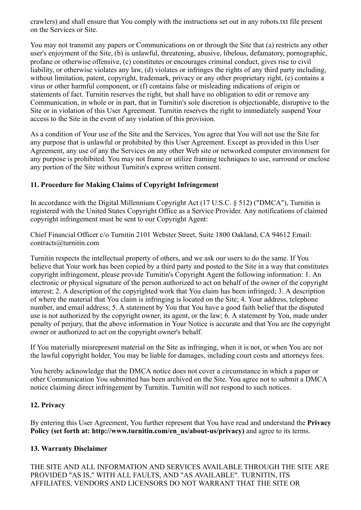crawlers) and shall ensure that You comply with the instructions set out in any robots.txt file present on the Services or Site.

You may not transmit any papers or Communications on or through the Site that (a) restricts any other user's enjoyment of the Site, (b) is unlawful, threatening, abusive, libelous, defamatory, pornographic, profane or otherwise offensive, (c) constitutes or encourages criminal conduct, gives rise to civil liability, or otherwise violates any law, (d) violates or infringes the rights of any third party including, without limitation, patent, copyright, trademark, privacy or any other proprietary right, (e) contains a virus or other harmful component, or (f) contains false or misleading indications of origin or statements of fact. Turnitin reserves the right, but shall have no obligation to edit or remove any Communication, in whole or in part, that in Turnitin's sole discretion is objectionable, disruptive to the Site or in violation of this User Agreement. Turnitin reserves the right to immediately suspend Your access to the Site in the event of any violation of this provision.

As a condition of Your use of the Site and the Services, You agree that You will not use the Site for any purpose that is unlawful or prohibited by this User Agreement. Except as provided in this User Agreement, any use of any the Services on any other Web site or networked computer environment for any purpose is prohibited. You may not frame or utilize framing techniques to use, surround or enclose any portion of the Site without Turnitin's express written consent.

#### 11. Procedure for Making Claims of Copyright Infringement

In accordance with the Digital Millennium Copyright Act (17 U.S.C. § 512) ("DMCA"), Turnitin is registered with the United States Copyright Office as a Service Provider. Any notifications of claimed copyright infringement must be sent to our Copyright Agent:

Chief Financial Officer c/o Turnitin 2101 Webster Street, Suite 1800 Oakland, CA 94612 Email: contracts@turnitin.com

Turnitin respects the intellectual property of others, and we ask our users to do the same. If You believe that Your work has been copied by a third party and posted to the Site in a way that constitutes copyright infringement, please provide Turnitin's Copyright Agent the following information: 1. An electronic or physical signature of the person authorized to act on behalf of the owner of the copyright interest; 2. A description of the copyrighted work that You claim has been infringed; 3. A description of where the material that You claim is infringing is located on the Site; 4. Your address, telephone number, and email address; 5. A statement by You that You have a good faith belief that the disputed use is not authorized by the copyright owner, its agent, or the law; 6. A statement by You, made under penalty of perjury, that the above information in Your Notice is accurate and that You are the copyright owner or authorized to act on the copyright owner's behalf.

If You materially misrepresent material on the Site as infringing, when it is not, or when You are not the lawful copyright holder, You may be liable for damages, including court costs and attorneys fees.

You hereby acknowledge that the DMCA notice does not cover a circumstance in which a paper or other Communication You submitted has been archived on the Site. You agree not to submit a DMCA notice claiming direct infringement by Turnitin. Turnitin will not respond to such notices.

#### 12. Privacy

By entering this User Agreement, You further represent that You have read and understand the **Privacy** Policy (set forth at: http://www.turnitin.com/en\_us/about-us/privacy) and agree to its terms.

#### 13. Warranty Disclaimer

THE SITE AND ALL INFORMATION AND SERVICES AVAILABLE THROUGH THE SITE ARE PROVIDED "AS IS," WITH ALL FAULTS, AND "AS AVAILABLE". TURNITIN, ITS AFFILIATES, VENDORS AND LICENSORS DO NOT WARRANT THAT THE SITE OR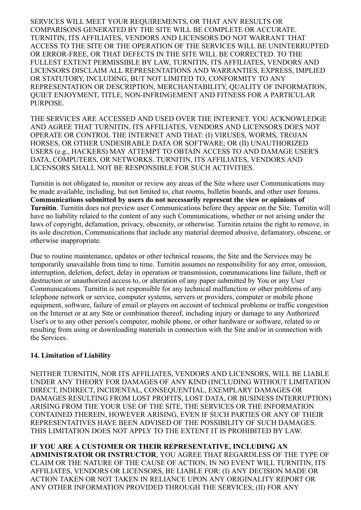SERVICES WILL MEET YOUR REQUIREMENTS, OR THAT ANY RESULTS OR COMPARISONS GENERATED BY THE SITE WILL BE COMPLETE OR ACCURATE. TURNITIN, ITS AFFILIATES, VENDORS AND LICENSORS DO NOT WARRANT THAT ACCESS TO THE SITE OR THE OPERATION OF THE SERVICES WILL BE UNINTERRUPTED OR ERROR-FREE, OR THAT DEFECTS IN THE SITE WILL BE CORRECTED. TO THE FULLEST EXTENT PERMISSIBLE BY LAW, TURNITIN, ITS AFFILIATES, VENDORS AND LICENSORS DISCLAIM ALL REPRESENTATIONS AND WARRANTIES, EXPRESS, IMPLIED OR STATUTORY, INCLUDING, BUT NOT LIMITED TO, CONFORMITY TO ANY REPRESENTATION OR DESCRIPTION, MERCHANTABILITY, QUALITY OF INFORMATION, QUIET ENJOYMENT, TITLE, NON-INFRINGEMENT AND FITNESS FOR A PARTICULAR PURPOSE.

THE SERVICES ARE ACCESSED AND USED OVER THE INTERNET. YOU ACKNOWLEDGE AND AGREE THAT TURNITIN, ITS AFFILIATES, VENDORS AND LICENSORS DOES NOT OPERATE OR CONTROL THE INTERNET AND THAT: (I) VIRUSES, WORMS, TROJAN HORSES, OR OTHER UNDESIRABLE DATA OR SOFTWARE; OR (II) UNAUTHORIZED USERS (e.g., HACKERS) MAY ATTEMPT TO OBTAIN ACCESS TO AND DAMAGE USER'S DATA, COMPUTERS, OR NETWORKS. TURNITIN, ITS AFFILIATES, VENDORS AND LICENSORS SHALL NOT BE RESPONSIBLE FOR SUCH ACTIVITIES.

Turnitin is not obligated to, monitor or review any areas of the Site where user Communications may be made available, including, but not limited to, chat rooms, bulletin boards, and other user forums. Communications submitted by users do not necessarily represent the view or opinions of Turnitin. Turnitin does not preview user Communications before they appear on the Site. Turnitin will have no liability related to the content of any such Communications, whether or not arising under the laws of copyright, defamation, privacy, obscenity, or otherwise. Turnitin retains the right to remove, in its sole discretion, Communications that include any material deemed abusive, defamatory, obscene, or otherwise inappropriate.

Due to routine maintenance, updates or other technical reasons, the Site and the Services may be temporarily unavailable from time to time. Turnitin assumes no responsibility for any error, omission, interruption, deletion, defect, delay in operation or transmission, communications line failure, theft or destruction or unauthorized access to, or alteration of any paper submitted by You or any User Communications. Turnitin is not responsible for any technical malfunction or other problems of any telephone network or service, computer systems, servers or providers, computer or mobile phone equipment, software, failure of email or players on account of technical problems or traffic congestion on the Internet or at any Site or combination thereof, including injury or damage to any Authorized User's or to any other person's computer, mobile phone, or other hardware or software, related to or resulting from using or downloading materials in connection with the Site and/or in connection with the Services.

#### 14. Limitation of Liability

NEITHER TURNITIN, NOR ITS AFFILIATES, VENDORS AND LICENSORS, WILL BE LIABLE UNDER ANY THEORY FOR DAMAGES OF ANY KIND (INCLUDING WITHOUT LIMITATION DIRECT, INDIRECT, INCIDENTAL, CONSEQUENTIAL, EXEMPLARY DAMAGES OR DAMAGES RESULTING FROM LOST PROFITS, LOST DATA, OR BUSINESS INTERRUPTION) ARISING FROM THE YOUR USE OF THE SITE, THE SERVICES OR THE INFORMATION CONTAINED THEREIN, HOWEVER ARISING, EVEN IF SUCH PARTIES OR ANY OF THEIR REPRESENTATIVES HAVE BEEN ADVISED OF THE POSSIBILITY OF SUCH DAMAGES. THIS LIMITATION DOES NOT APPLY TO THE EXTENT IT IS PROHIBITED BY LAW.

IF YOU ARE A CUSTOMER OR THEIR REPRESENTATIVE, INCLUDING AN ADMINISTRATOR OR INSTRUCTOR, YOU AGREE THAT REGARDLESS OF THE TYPE OF CLAIM OR THE NATURE OF THE CAUSE OF ACTION, IN NO EVENT WILL TURNITIN, ITS AFFILIATES, VENDORS OR LICENSORS, BE LIABLE FOR: (I) ANY DECISION MADE OR ACTION TAKEN OR NOT TAKEN IN RELIANCE UPON ANY ORIGINALITY REPORT OR ANY OTHER INFORMATION PROVIDED THROUGH THE SERVICES; (II) FOR ANY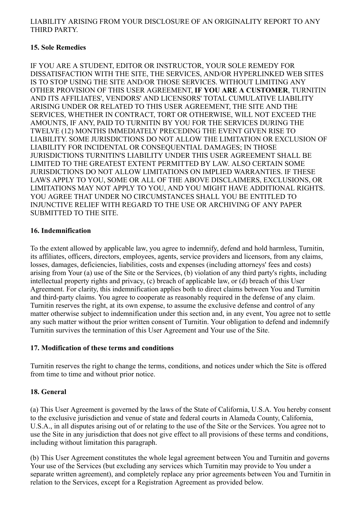#### LIABILITY ARISING FROM YOUR DISCLOSURE OF AN ORIGINALITY REPORT TO ANY THIRD PARTY.

#### 15. Sole Remedies

IF YOU ARE A STUDENT, EDITOR OR INSTRUCTOR, YOUR SOLE REMEDY FOR DISSATISFACTION WITH THE SITE, THE SERVICES, AND/OR HYPERLINKED WEB SITES IS TO STOP USING THE SITE AND/OR THOSE SERVICES. WITHOUT LIMITING ANY OTHER PROVISION OF THIS USER AGREEMENT, IF YOU ARE A CUSTOMER, TURNITIN AND ITS AFFILIATES', VENDORS' AND LICENSORS' TOTAL CUMULATIVE LIABILITY ARISING UNDER OR RELATED TO THIS USER AGREEMENT, THE SITE AND THE SERVICES, WHETHER IN CONTRACT, TORT OR OTHERWISE, WILL NOT EXCEED THE AMOUNTS, IF ANY, PAID TO TURNITIN BY YOU FOR THE SERVICES DURING THE TWELVE (12) MONTHS IMMEDIATELY PRECEDING THE EVENT GIVEN RISE TO LIABILITY. SOME JURISDICTIONS DO NOT ALLOW THE LIMITATION OR EXCLUSION OF LIABILITY FOR INCIDENTAL OR CONSEQUENTIAL DAMAGES; IN THOSE JURISDICTIONS TURNITIN'S LIABILITY UNDER THIS USER AGREEMENT SHALL BE LIMITED TO THE GREATEST EXTENT PERMITTED BY LAW. ALSO CERTAIN SOME JURISDICTIONS DO NOT ALLOW LIMITATIONS ON IMPLIED WARRANTIES. IF THESE LAWS APPLY TO YOU, SOME OR ALL OF THE ABOVE DISCLAIMERS, EXCLUSIONS, OR LIMITATIONS MAY NOT APPLY TO YOU, AND YOU MIGHT HAVE ADDITIONAL RIGHTS. YOU AGREE THAT UNDER NO CIRCUMSTANCES SHALL YOU BE ENTITLED TO INJUNCTIVE RELIEF WITH REGARD TO THE USE OR ARCHIVING OF ANY PAPER SUBMITTED TO THE SITE.

#### 16. Indemnification

To the extent allowed by applicable law, you agree to indemnify, defend and hold harmless, Turnitin, its affiliates, officers, directors, employees, agents, service providers and licensors, from any claims, losses, damages, deficiencies, liabilities, costs and expenses (including attorneys' fees and costs) arising from Your (a) use of the Site or the Services, (b) violation of any third party's rights, including intellectual property rights and privacy, (c) breach of applicable law, or (d) breach of this User Agreement. For clarity, this indemnification applies both to direct claims between You and Turnitin and third-party claims. You agree to cooperate as reasonably required in the defense of any claim. Turnitin reserves the right, at its own expense, to assume the exclusive defense and control of any matter otherwise subject to indemnification under this section and, in any event, You agree not to settle any such matter without the prior written consent of Turnitin. Your obligation to defend and indemnify Turnitin survives the termination of this User Agreement and Your use of the Site.

#### 17. Modification of these terms and conditions

Turnitin reserves the right to change the terms, conditions, and notices under which the Site is offered from time to time and without prior notice.

#### 18. General

(a) This User Agreement is governed by the laws of the State of California, U.S.A. You hereby consent to the exclusive jurisdiction and venue of state and federal courts in Alameda County, California, U.S.A., in all disputes arising out of or relating to the use of the Site or the Services. You agree not to use the Site in any jurisdiction that does not give effect to all provisions of these terms and conditions, including without limitation this paragraph.

(b) This User Agreement constitutes the whole legal agreement between You and Turnitin and governs Your use of the Services (but excluding any services which Turnitin may provide to You under a separate written agreement), and completely replace any prior agreements between You and Turnitin in relation to the Services, except for a Registration Agreement as provided below.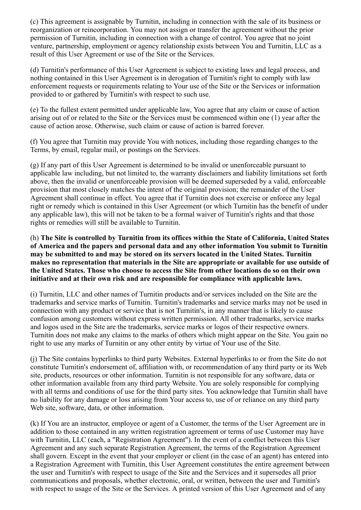(c) This agreement is assignable by Turnitin, including in connection with the sale of its business or reorganization or reincorporation. You may not assign or transfer the agreement without the prior permission of Turnitin, including in connection with a change of control. You agree that no joint venture, partnership, employment or agency relationship exists between You and Turnitin, LLC as a result of this User Agreement or use of the Site or the Services.

(d) Turnitin's performance of this User Agreement is subject to existing laws and legal process, and nothing contained in this User Agreement is in derogation of Turnitin's right to comply with law enforcement requests or requirements relating to Your use of the Site or the Services or information provided to or gathered by Turnitin's with respect to such use.

(e) To the fullest extent permitted under applicable law, You agree that any claim or cause of action arising out of or related to the Site or the Services must be commenced within one (1) year after the cause of action arose. Otherwise, such claim or cause of action is barred forever.

(f) You agree that Turnitin may provide You with notices, including those regarding changes to the Terms, by email, regular mail, or postings on the Services.

(g) If any part of this User Agreement is determined to be invalid or unenforceable pursuant to applicable law including, but not limited to, the warranty disclaimers and liability limitations set forth above, then the invalid or unenforceable provision will be deemed superseded by a valid, enforceable provision that most closely matches the intent of the original provision; the remainder of the User Agreement shall continue in effect. You agree that if Turnitin does not exercise or enforce any legal right or remedy which is contained in this User Agreement (or which Turnitin has the benefit of under any applicable law), this will not be taken to be a formal waiver of Turnitin's rights and that those rights or remedies will still be available to Turnitin.

(h) The Site is controlled by Turnitin from its offices within the State of California, United States of America and the papers and personal data and any other information You submit to Turnitin may be submitted to and may be stored on its servers located in the United States. Turnitin makes no representation that materials in the Site are appropriate or available for use outside of the United States. Those who choose to access the Site from other locations do so on their own initiative and at their own risk and are responsible for compliance with applicable laws.

(i) Turnitin, LLC and other names of Turnitin products and/or services included on the Site are the trademarks and service marks of Turnitin. Turnitin's trademarks and service marks may not be used in connection with any product or service that is not Turnitin's, in any manner that is likely to cause confusion among customers without express written permission. All other trademarks, service marks and logos used in the Site are the trademarks, service marks or logos of their respective owners. Turnitin does not make any claims to the marks of others which might appear on the Site. You gain no right to use any marks of Turnitin or any other entity by virtue of Your use of the Site.

(j) The Site contains hyperlinks to third party Websites. External hyperlinks to or from the Site do not constitute Turnitin's endorsement of, affiliation with, or recommendation of any third party or its Web site, products, resources or other information. Turnitin is not responsible for any software, data or other information available from any third party Website. You are solely responsible for complying with all terms and conditions of use for the third party sites. You acknowledge that Turnitin shall have no liability for any damage or loss arising from Your access to, use of or reliance on any third party Web site, software, data, or other information.

(k) If You are an instructor, employee or agent of a Customer, the terms of the User Agreement are in addition to those contained in any written registration agreement or terms of use Customer may have with Turnitin, LLC (each, a "Registration Agreement"). In the event of a conflict between this User Agreement and any such separate Registration Agreement, the terms of the Registration Agreement shall govern. Except in the event that your employer or client (in the case of an agent) has entered into a Registration Agreement with Turnitin, this User Agreement constitutes the entire agreement between the user and Turnitin's with respect to usage of the Site and the Services and it supersedes all prior communications and proposals, whether electronic, oral, or written, between the user and Turnitin's with respect to usage of the Site or the Services. A printed version of this User Agreement and of any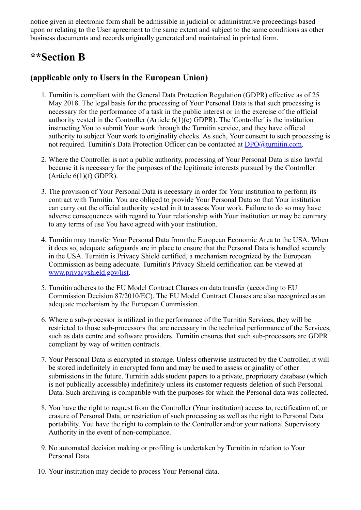notice given in electronic form shall be admissible in judicial or administrative proceedings based upon or relating to the User agreement to the same extent and subject to the same conditions as other business documents and records originally generated and maintained in printed form.

# \*\*Section B

### (applicable only to Users in the European Union)

- 1. Turnitin is compliant with the General Data Protection Regulation (GDPR) effective as of 25 May 2018. The legal basis for the processing of Your Personal Data is that such processing is necessary for the performance of a task in the public interest or in the exercise of the official authority vested in the Controller (Article 6(1)(e) GDPR). The 'Controller' is the institution instructing You to submit Your work through the Turnitin service, and they have official authority to subject Your work to originality checks. As such, Your consent to such processing is not required. Turnitin's Data Protection Officer can be contacted at [DPO@turnitin.com](mailto:DPO@turnitin.com).
- 2. Where the Controller is not a public authority, processing of Your Personal Data is also lawful because it is necessary for the purposes of the legitimate interests pursued by the Controller (Article  $6(1)(f)$  GDPR).
- 3. The provision of Your Personal Data is necessary in order for Your institution to perform its contract with Turnitin. You are obliged to provide Your Personal Data so that Your institution can carry out the official authority vested in it to assess Your work. Failure to do so may have adverse consequences with regard to Your relationship with Your institution or may be contrary to any terms of use You have agreed with your institution.
- 4. Turnitin may transfer Your Personal Data from the European Economic Area to the USA. When it does so, adequate safeguards are in place to ensure that the Personal Data is handled securely in the USA. Turnitin is Privacy Shield certified, a mechanism recognized by the European Commission as being adequate. Turnitin's Privacy Shield certification can be viewed at [www.privacyshield.gov/list.](http://www.privacyshield.gov/list)
- 5. Turnitin adheres to the EU Model Contract Clauses on data transfer (according to EU Commission Decision 87/2010/EC). The EU Model Contract Clauses are also recognized as an adequate mechanism by the European Commission.
- 6. Where a sub-processor is utilized in the performance of the Turnitin Services, they will be restricted to those sub-processors that are necessary in the technical performance of the Services, such as data centre and software providers. Turnitin ensures that such sub-processors are GDPR compliant by way of written contracts.
- 7. Your Personal Data is encrypted in storage. Unless otherwise instructed by the Controller, it will be stored indefinitely in encrypted form and may be used to assess originality of other submissions in the future. Turnitin adds student papers to a private, proprietary database (which is not publically accessible) indefinitely unless its customer requests deletion of such Personal Data. Such archiving is compatible with the purposes for which the Personal data was collected.
- 8. You have the right to request from the Controller (Your institution) access to, rectification of, or erasure of Personal Data, or restriction of such processing as well as the right to Personal Data portability. You have the right to complain to the Controller and/or your national Supervisory Authority in the event of non-compliance.
- 9. No automated decision making or profiling is undertaken by Turnitin in relation to Your Personal Data.
- 10. Your institution may decide to process Your Personal data.